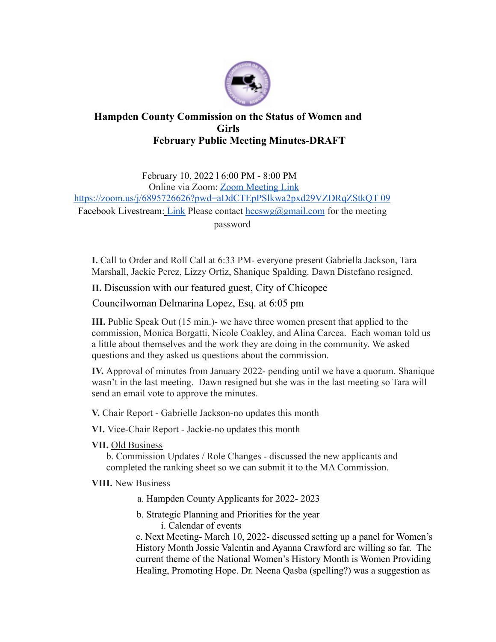

## **Hampden County Commission on the Status of Women and Girls February Public Meeting Minutes-DRAFT**

February 10, 2022 l 6:00 PM - 8:00 PM Online via Zoom: Zoom Meeting Link https://zoom.us/j/6895726626?pwd=aDdCTEpPSlkwa2pxd29VZDRqZStkQT 09 Facebook Livestream: Link Please contact  $hccswg(\partial g_{\text{small.com}})$  for the meeting password

**I.** Call to Order and Roll Call at 6:33 PM- everyone present Gabriella Jackson, Tara Marshall, Jackie Perez, Lizzy Ortiz, Shanique Spalding. Dawn Distefano resigned.

**II.** Discussion with our featured guest, City of Chicopee

Councilwoman Delmarina Lopez, Esq. at 6:05 pm

**III.** Public Speak Out (15 min.)- we have three women present that applied to the commission, Monica Borgatti, Nicole Coakley, and Alina Carcea. Each woman told us a little about themselves and the work they are doing in the community. We asked questions and they asked us questions about the commission.

**IV.** Approval of minutes from January 2022- pending until we have a quorum. Shanique wasn't in the last meeting. Dawn resigned but she was in the last meeting so Tara will send an email vote to approve the minutes.

**V.** Chair Report - Gabrielle Jackson-no updates this month

**VI.** Vice-Chair Report - Jackie-no updates this month

**VII.** Old Business

b. Commission Updates / Role Changes - discussed the new applicants and completed the ranking sheet so we can submit it to the MA Commission.

**VIII.** New Business

a. Hampden County Applicants for 2022- 2023

b. Strategic Planning and Priorities for the year i. Calendar of events

c. Next Meeting- March 10, 2022- discussed setting up a panel for Women's History Month Jossie Valentin and Ayanna Crawford are willing so far. The current theme of the National Women's History Month is Women Providing Healing, Promoting Hope. Dr. Neena Qasba (spelling?) was a suggestion as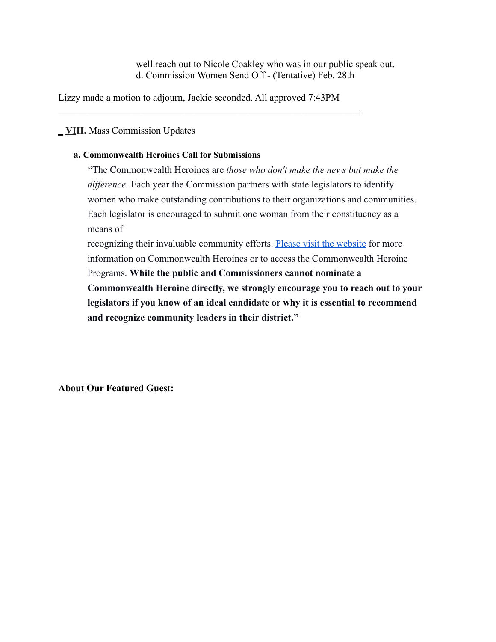well.reach out to Nicole Coakley who was in our public speak out. d. Commission Women Send Off - (Tentative) Feb. 28th

Lizzy made a motion to adjourn, Jackie seconded. All approved 7:43PM

 $\frac{1}{2}$  ,  $\frac{1}{2}$  ,  $\frac{1}{2}$  ,  $\frac{1}{2}$  ,  $\frac{1}{2}$  ,  $\frac{1}{2}$  ,  $\frac{1}{2}$  ,  $\frac{1}{2}$  ,  $\frac{1}{2}$  ,  $\frac{1}{2}$  ,  $\frac{1}{2}$  ,  $\frac{1}{2}$  ,  $\frac{1}{2}$  ,  $\frac{1}{2}$  ,  $\frac{1}{2}$  ,  $\frac{1}{2}$  ,  $\frac{1}{2}$  ,  $\frac{1}{2}$  ,  $\frac{1$ 

## \_ **VIII.** Mass Commission Updates

## **a. Commonwealth Heroines Call for Submissions**

"The Commonwealth Heroines are *those who don't make the news but make the difference.* Each year the Commission partners with state legislators to identify women who make outstanding contributions to their organizations and communities. Each legislator is encouraged to submit one woman from their constituency as a means of

recognizing their invaluable community efforts. Please visit the website for more information on Commonwealth Heroines or to access the Commonwealth Heroine Programs. **While the public and Commissioners cannot nominate a Commonwealth Heroine directly, we strongly encourage you to reach out to your legislators if you know of an ideal candidate or why it is essential to recommend and recognize community leaders in their district."**

**About Our Featured Guest:**